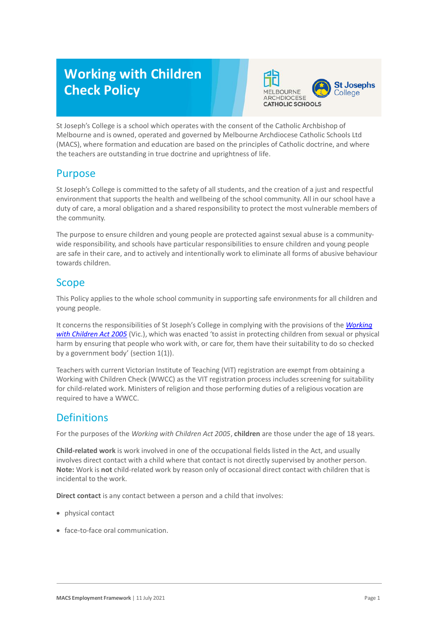# **Working with Children Check Policy**



St Joseph's College is a school which operates with the consent of the Catholic Archbishop of Melbourne and is owned, operated and governed by Melbourne Archdiocese Catholic Schools Ltd (MACS), where formation and education are based on the principles of Catholic doctrine, and where the teachers are outstanding in true doctrine and uprightness of life.

## Purpose

St Joseph's College is committed to the safety of all students, and the creation of a just and respectful environment that supports the health and wellbeing of the school community. All in our school have a duty of care, a moral obligation and a shared responsibility to protect the most vulnerable members of the community.

The purpose to ensure children and young people are protected against sexual abuse is a communitywide responsibility, and schools have particular responsibilities to ensure children and young people are safe in their care, and to actively and intentionally work to eliminate all forms of abusive behaviour towards children.

## **Scope**

This Policy applies to the whole school community in supporting safe environments for all children and young people.

It concerns the responsibilities of St Joseph's College in complying with the provisions of the *[Working](https://www.legislation.vic.gov.au/as-made/acts/working-children-act-2005)  [with Children Act 2005](https://www.legislation.vic.gov.au/as-made/acts/working-children-act-2005)* (Vic.), which was enacted 'to assist in protecting children from sexual or physical harm by ensuring that people who work with, or care for, them have their suitability to do so checked by a government body' (section 1(1)).

Teachers with current Victorian Institute of Teaching (VIT) registration are exempt from obtaining a Working with Children Check (WWCC) as the VIT registration process includes screening for suitability for child-related work. Ministers of religion and those performing duties of a religious vocation are required to have a WWCC.

## **Definitions**

For the purposes of the *Working with Children Act 2005*, **children** are those under the age of 18 years.

**Child-related work** is work involved in one of the occupational fields listed in the Act, and usually involves direct contact with a child where that contact is not directly supervised by another person. **Note:** Work is **not** child-related work by reason only of occasional direct contact with children that is incidental to the work.

**Direct contact** is any contact between a person and a child that involves:

- physical contact
- face-to-face oral communication.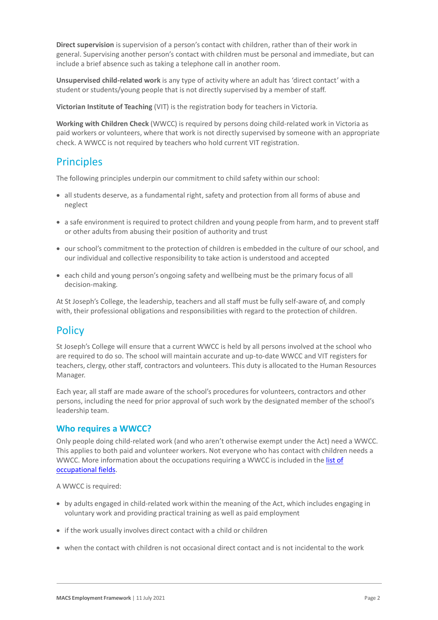**Direct supervision** is supervision of a person's contact with children, rather than of their work in general. Supervising another person's contact with children must be personal and immediate, but can include a brief absence such as taking a telephone call in another room.

**Unsupervised child-related work** is any type of activity where an adult has 'direct contact' with a student or students/young people that is not directly supervised by a member of staff.

**Victorian Institute of Teaching** (VIT) is the registration body for teachers in Victoria.

**Working with Children Check** (WWCC) is required by persons doing child-related work in Victoria as paid workers or volunteers, where that work is not directly supervised by someone with an appropriate check. A WWCC is not required by teachers who hold current VIT registration.

## **Principles**

The following principles underpin our commitment to child safety within our school:

- all students deserve, as a fundamental right, safety and protection from all forms of abuse and neglect
- a safe environment is required to protect children and young people from harm, and to prevent staff or other adults from abusing their position of authority and trust
- our school's commitment to the protection of children is embedded in the culture of our school, and our individual and collective responsibility to take action is understood and accepted
- each child and young person's ongoing safety and wellbeing must be the primary focus of all decision-making.

At St Joseph's College, the leadership, teachers and all staff must be fully self-aware of, and comply with, their professional obligations and responsibilities with regard to the protection of children.

#### **Policy**

St Joseph's College will ensure that a current WWCC is held by all persons involved at the school who are required to do so. The school will maintain accurate and up-to-date WWCC and VIT registers for teachers, clergy, other staff, contractors and volunteers. This duty is allocated to the Human Resources Manager.

Each year, all staff are made aware of the school's procedures for volunteers, contractors and other persons, including the need for prior approval of such work by the designated member of the school's leadership team.

#### **Who requires a WWCC?**

Only people doing child-related work (and who aren't otherwise exempt under the Act) need a WWCC. This applies to both paid and volunteer workers. Not everyone who has contact with children needs a WWCC. More information about the occupations requiring a WWCC is included in the list of [occupational fields.](https://www.workingwithchildren.vic.gov.au/about-the-check/resources/list-of-occupational-fields)

#### A WWCC is required:

- by adults engaged in child-related work within the meaning of the Act, which includes engaging in voluntary work and providing practical training as well as paid employment
- if the work usually involves direct contact with a child or children
- when the contact with children is not occasional direct contact and is not incidental to the work